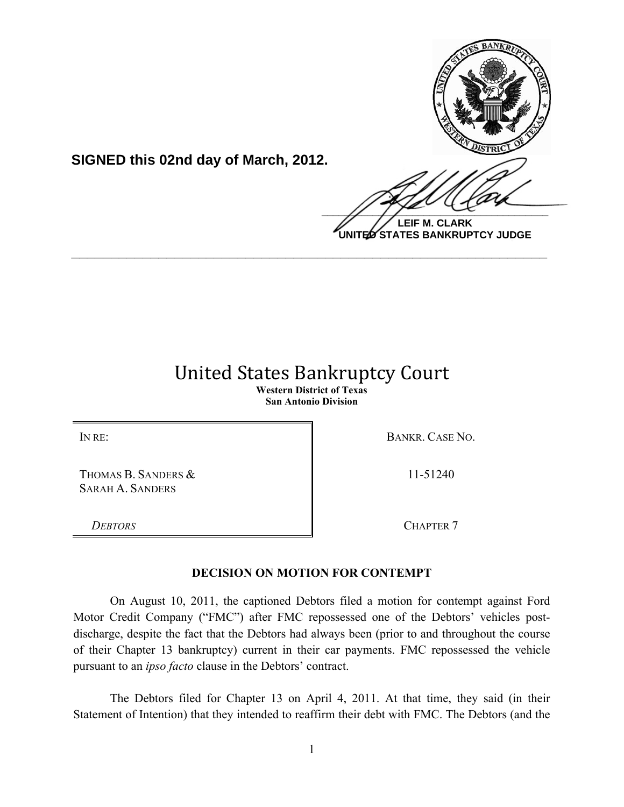

**LEIF M. CLARK UNITED STATES BANKRUPTCY JUDGE**

## United!States!Bankruptcy!Court **Western District of Texas**

**\_\_\_\_\_\_\_\_\_\_\_\_\_\_\_\_\_\_\_\_\_\_\_\_\_\_\_\_\_\_\_\_\_\_\_\_\_\_\_\_\_\_\_\_\_\_\_\_\_\_\_\_\_\_\_\_\_\_\_\_**

**San Antonio Division**

THOMAS B. SANDERS & SARAH A. SANDERS

**SIGNED this 02nd day of March, 2012.**

IN RE: BANKR. CASE NO.

11-51240

**DEBTORS** CHAPTER 7

## **DECISION ON MOTION FOR CONTEMPT**

On August 10, 2011, the captioned Debtors filed a motion for contempt against Ford Motor Credit Company ("FMC") after FMC repossessed one of the Debtors' vehicles postdischarge, despite the fact that the Debtors had always been (prior to and throughout the course of their Chapter 13 bankruptcy) current in their car payments. FMC repossessed the vehicle pursuant to an *ipso facto* clause in the Debtors' contract.

The Debtors filed for Chapter 13 on April 4, 2011. At that time, they said (in their Statement of Intention) that they intended to reaffirm their debt with FMC. The Debtors (and the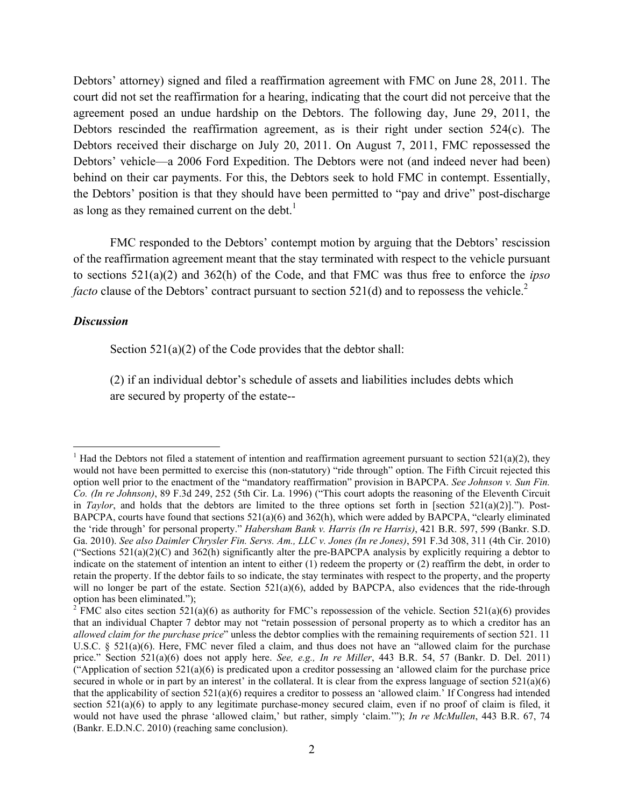Debtors' attorney) signed and filed a reaffirmation agreement with FMC on June 28, 2011. The court did not set the reaffirmation for a hearing, indicating that the court did not perceive that the agreement posed an undue hardship on the Debtors. The following day, June 29, 2011, the Debtors rescinded the reaffirmation agreement, as is their right under section 524(c). The Debtors received their discharge on July 20, 2011. On August 7, 2011, FMC repossessed the Debtors' vehicle—a 2006 Ford Expedition. The Debtors were not (and indeed never had been) behind on their car payments. For this, the Debtors seek to hold FMC in contempt. Essentially, the Debtors' position is that they should have been permitted to "pay and drive" post-discharge as long as they remained current on the debt.<sup>1</sup>

FMC responded to the Debtors' contempt motion by arguing that the Debtors' rescission of the reaffirmation agreement meant that the stay terminated with respect to the vehicle pursuant to sections 521(a)(2) and 362(h) of the Code, and that FMC was thus free to enforce the *ipso facto* clause of the Debtors' contract pursuant to section 521(d) and to repossess the vehicle.<sup>2</sup>

## *Discussion*

!!!!!!!!!!!!!!!!!!!!!!!!!!!!!!!!!!!!!!!!!!!!!!!!!!!!!!!!!!!

Section 521(a)(2) of the Code provides that the debtor shall:

(2) if an individual debtor's schedule of assets and liabilities includes debts which are secured by property of the estate--

<sup>&</sup>lt;sup>1</sup> Had the Debtors not filed a statement of intention and reaffirmation agreement pursuant to section 521(a)(2), they would not have been permitted to exercise this (non-statutory) "ride through" option. The Fifth Circuit rejected this option well prior to the enactment of the "mandatory reaffirmation" provision in BAPCPA. *See Johnson v. Sun Fin. Co. (In re Johnson)*, 89 F.3d 249, 252 (5th Cir. La. 1996) ("This court adopts the reasoning of the Eleventh Circuit in *Taylor*, and holds that the debtors are limited to the three options set forth in [section 521(a)(2)]."). Post-BAPCPA, courts have found that sections 521(a)(6) and 362(h), which were added by BAPCPA, "clearly eliminated the 'ride through' for personal property." *Habersham Bank v. Harris (In re Harris)*, 421 B.R. 597, 599 (Bankr. S.D. Ga. 2010). *See also Daimler Chrysler Fin. Servs. Am., LLC v. Jones (In re Jones)*, 591 F.3d 308, 311 (4th Cir. 2010) ("Sections  $521(a)(2)(C)$  and  $362(h)$  significantly alter the pre-BAPCPA analysis by explicitly requiring a debtor to indicate on the statement of intention an intent to either (1) redeem the property or (2) reaffirm the debt, in order to retain the property. If the debtor fails to so indicate, the stay terminates with respect to the property, and the property will no longer be part of the estate. Section 521(a)(6), added by BAPCPA, also evidences that the ride-through option has been eliminated.");

<sup>&</sup>lt;sup>2</sup> FMC also cites section 521(a)(6) as authority for FMC's repossession of the vehicle. Section 521(a)(6) provides that an individual Chapter 7 debtor may not "retain possession of personal property as to which a creditor has an *allowed claim for the purchase price*" unless the debtor complies with the remaining requirements of section 521. 11 U.S.C. § 521(a)(6). Here, FMC never filed a claim, and thus does not have an "allowed claim for the purchase price." Section 521(a)(6) does not apply here. *See, e.g., In re Miller*, 443 B.R. 54, 57 (Bankr. D. Del. 2011) ("Application of section  $521(a)(6)$  is predicated upon a creditor possessing an 'allowed claim for the purchase price secured in whole or in part by an interest' in the collateral. It is clear from the express language of section  $521(a)(6)$ that the applicability of section  $521(a)(6)$  requires a creditor to possess an 'allowed claim.' If Congress had intended section 521(a)(6) to apply to any legitimate purchase-money secured claim, even if no proof of claim is filed, it would not have used the phrase 'allowed claim,' but rather, simply 'claim.'"); *In re McMullen*, 443 B.R. 67, 74 (Bankr. E.D.N.C. 2010) (reaching same conclusion).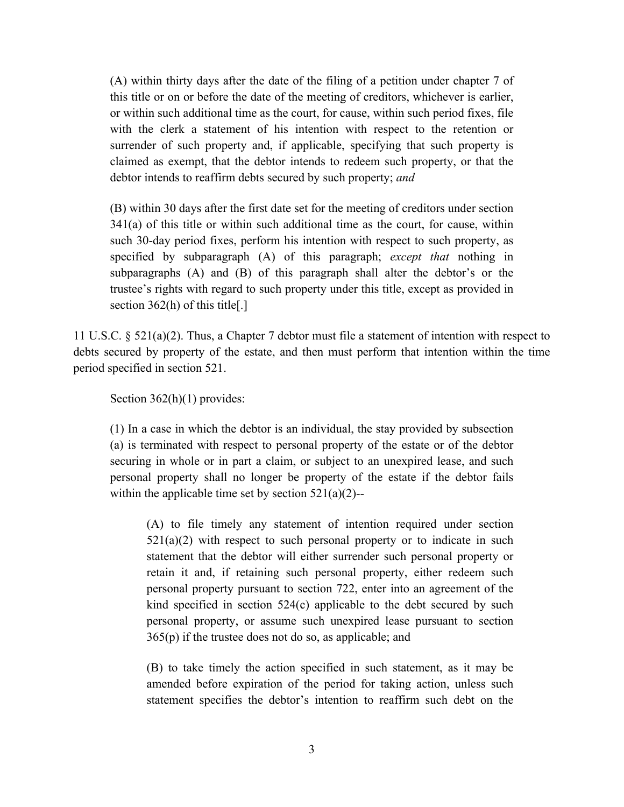(A) within thirty days after the date of the filing of a petition under chapter 7 of this title or on or before the date of the meeting of creditors, whichever is earlier, or within such additional time as the court, for cause, within such period fixes, file with the clerk a statement of his intention with respect to the retention or surrender of such property and, if applicable, specifying that such property is claimed as exempt, that the debtor intends to redeem such property, or that the debtor intends to reaffirm debts secured by such property; *and* 

(B) within 30 days after the first date set for the meeting of creditors under section 341(a) of this title or within such additional time as the court, for cause, within such 30-day period fixes, perform his intention with respect to such property, as specified by subparagraph (A) of this paragraph; *except that* nothing in subparagraphs (A) and (B) of this paragraph shall alter the debtor's or the trustee's rights with regard to such property under this title, except as provided in section 362(h) of this title[.]

11 U.S.C. § 521(a)(2). Thus, a Chapter 7 debtor must file a statement of intention with respect to debts secured by property of the estate, and then must perform that intention within the time period specified in section 521.

Section 362(h)(1) provides:

(1) In a case in which the debtor is an individual, the stay provided by subsection (a) is terminated with respect to personal property of the estate or of the debtor securing in whole or in part a claim, or subject to an unexpired lease, and such personal property shall no longer be property of the estate if the debtor fails within the applicable time set by section  $521(a)(2)$ --

(A) to file timely any statement of intention required under section  $521(a)(2)$  with respect to such personal property or to indicate in such statement that the debtor will either surrender such personal property or retain it and, if retaining such personal property, either redeem such personal property pursuant to section 722, enter into an agreement of the kind specified in section 524(c) applicable to the debt secured by such personal property, or assume such unexpired lease pursuant to section 365(p) if the trustee does not do so, as applicable; and

(B) to take timely the action specified in such statement, as it may be amended before expiration of the period for taking action, unless such statement specifies the debtor's intention to reaffirm such debt on the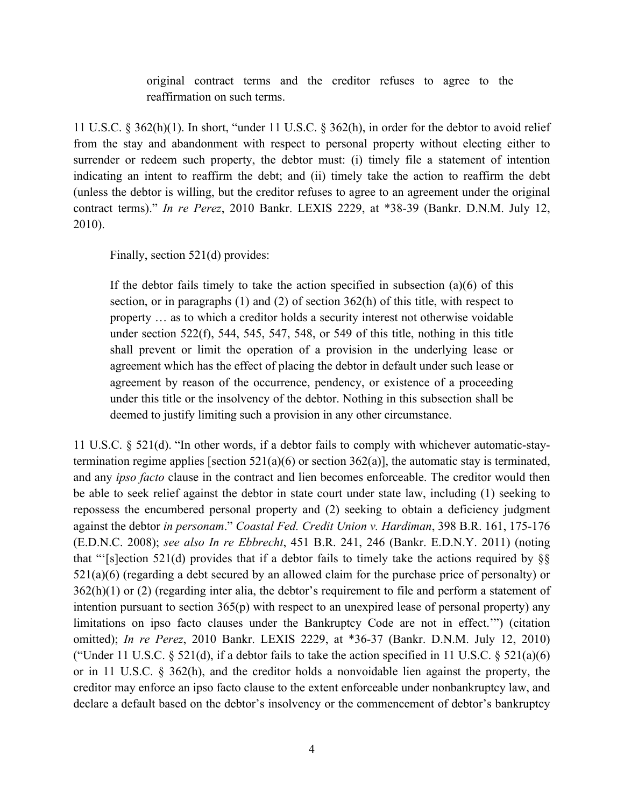original contract terms and the creditor refuses to agree to the reaffirmation on such terms.

11 U.S.C. § 362(h)(1). In short, "under 11 U.S.C. § 362(h), in order for the debtor to avoid relief from the stay and abandonment with respect to personal property without electing either to surrender or redeem such property, the debtor must: (i) timely file a statement of intention indicating an intent to reaffirm the debt; and (ii) timely take the action to reaffirm the debt (unless the debtor is willing, but the creditor refuses to agree to an agreement under the original contract terms)." *In re Perez*, 2010 Bankr. LEXIS 2229, at \*38-39 (Bankr. D.N.M. July 12, 2010).

Finally, section 521(d) provides:

If the debtor fails timely to take the action specified in subsection  $(a)(6)$  of this section, or in paragraphs (1) and (2) of section 362(h) of this title, with respect to property … as to which a creditor holds a security interest not otherwise voidable under section 522(f), 544, 545, 547, 548, or 549 of this title, nothing in this title shall prevent or limit the operation of a provision in the underlying lease or agreement which has the effect of placing the debtor in default under such lease or agreement by reason of the occurrence, pendency, or existence of a proceeding under this title or the insolvency of the debtor. Nothing in this subsection shall be deemed to justify limiting such a provision in any other circumstance.

11 U.S.C. § 521(d). "In other words, if a debtor fails to comply with whichever automatic-staytermination regime applies [section  $521(a)(6)$  or section  $362(a)$ ], the automatic stay is terminated, and any *ipso facto* clause in the contract and lien becomes enforceable. The creditor would then be able to seek relief against the debtor in state court under state law, including (1) seeking to repossess the encumbered personal property and (2) seeking to obtain a deficiency judgment against the debtor *in personam*." *Coastal Fed. Credit Union v. Hardiman*, 398 B.R. 161, 175-176 (E.D.N.C. 2008); *see also In re Ebbrecht*, 451 B.R. 241, 246 (Bankr. E.D.N.Y. 2011) (noting that "'[s]ection 521(d) provides that if a debtor fails to timely take the actions required by  $\S$  $521(a)(6)$  (regarding a debt secured by an allowed claim for the purchase price of personalty) or  $362(h)(1)$  or (2) (regarding inter alia, the debtor's requirement to file and perform a statement of intention pursuant to section 365(p) with respect to an unexpired lease of personal property) any limitations on ipso facto clauses under the Bankruptcy Code are not in effect.'") (citation omitted); *In re Perez*, 2010 Bankr. LEXIS 2229, at \*36-37 (Bankr. D.N.M. July 12, 2010) ("Under 11 U.S.C.  $\S$  521(d), if a debtor fails to take the action specified in 11 U.S.C.  $\S$  521(a)(6) or in 11 U.S.C. § 362(h), and the creditor holds a nonvoidable lien against the property, the creditor may enforce an ipso facto clause to the extent enforceable under nonbankruptcy law, and declare a default based on the debtor's insolvency or the commencement of debtor's bankruptcy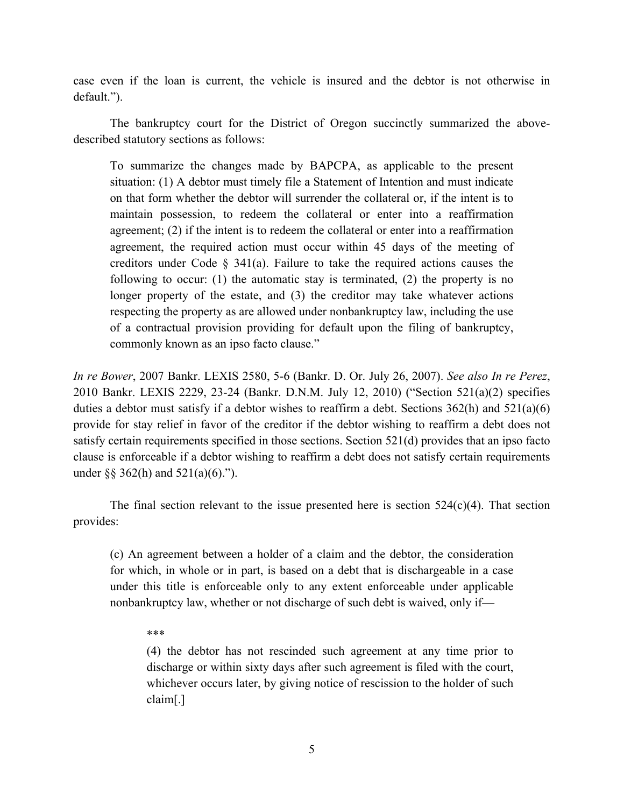case even if the loan is current, the vehicle is insured and the debtor is not otherwise in default.").

The bankruptcy court for the District of Oregon succinctly summarized the abovedescribed statutory sections as follows:

To summarize the changes made by BAPCPA, as applicable to the present situation: (1) A debtor must timely file a Statement of Intention and must indicate on that form whether the debtor will surrender the collateral or, if the intent is to maintain possession, to redeem the collateral or enter into a reaffirmation agreement; (2) if the intent is to redeem the collateral or enter into a reaffirmation agreement, the required action must occur within 45 days of the meeting of creditors under Code  $\S$  341(a). Failure to take the required actions causes the following to occur: (1) the automatic stay is terminated, (2) the property is no longer property of the estate, and (3) the creditor may take whatever actions respecting the property as are allowed under nonbankruptcy law, including the use of a contractual provision providing for default upon the filing of bankruptcy, commonly known as an ipso facto clause."

*In re Bower*, 2007 Bankr. LEXIS 2580, 5-6 (Bankr. D. Or. July 26, 2007). *See also In re Perez*, 2010 Bankr. LEXIS 2229, 23-24 (Bankr. D.N.M. July 12, 2010) ("Section 521(a)(2) specifies duties a debtor must satisfy if a debtor wishes to reaffirm a debt. Sections  $362(h)$  and  $521(a)(6)$ provide for stay relief in favor of the creditor if the debtor wishing to reaffirm a debt does not satisfy certain requirements specified in those sections. Section 521(d) provides that an ipso facto clause is enforceable if a debtor wishing to reaffirm a debt does not satisfy certain requirements under §§ 362(h) and  $521(a)(6)$ .").

The final section relevant to the issue presented here is section  $524(c)(4)$ . That section provides:

(c) An agreement between a holder of a claim and the debtor, the consideration for which, in whole or in part, is based on a debt that is dischargeable in a case under this title is enforceable only to any extent enforceable under applicable nonbankruptcy law, whether or not discharge of such debt is waived, only if—

\*\*\*

(4) the debtor has not rescinded such agreement at any time prior to discharge or within sixty days after such agreement is filed with the court, whichever occurs later, by giving notice of rescission to the holder of such claim[.]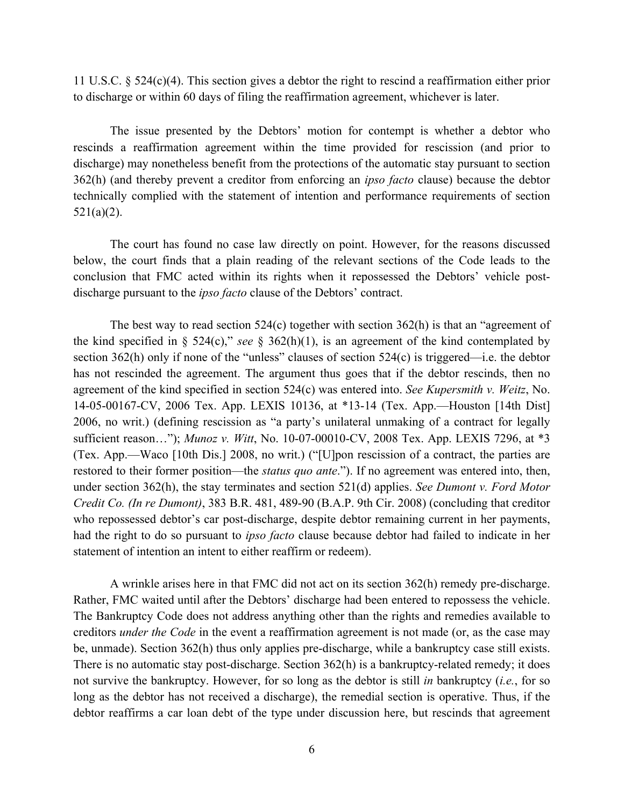11 U.S.C. § 524(c)(4). This section gives a debtor the right to rescind a reaffirmation either prior to discharge or within 60 days of filing the reaffirmation agreement, whichever is later.

The issue presented by the Debtors' motion for contempt is whether a debtor who rescinds a reaffirmation agreement within the time provided for rescission (and prior to discharge) may nonetheless benefit from the protections of the automatic stay pursuant to section 362(h) (and thereby prevent a creditor from enforcing an *ipso facto* clause) because the debtor technically complied with the statement of intention and performance requirements of section  $521(a)(2)$ .

The court has found no case law directly on point. However, for the reasons discussed below, the court finds that a plain reading of the relevant sections of the Code leads to the conclusion that FMC acted within its rights when it repossessed the Debtors' vehicle postdischarge pursuant to the *ipso facto* clause of the Debtors' contract.

The best way to read section  $524(c)$  together with section  $362(h)$  is that an "agreement of the kind specified in § 524(c)," *see* § 362(h)(1), is an agreement of the kind contemplated by section 362(h) only if none of the "unless" clauses of section 524(c) is triggered—i.e. the debtor has not rescinded the agreement. The argument thus goes that if the debtor rescinds, then no agreement of the kind specified in section 524(c) was entered into. *See Kupersmith v. Weitz*, No. 14-05-00167-CV, 2006 Tex. App. LEXIS 10136, at \*13-14 (Tex. App.—Houston [14th Dist] 2006, no writ.) (defining rescission as "a party's unilateral unmaking of a contract for legally sufficient reason…"); *Munoz v. Witt*, No. 10-07-00010-CV, 2008 Tex. App. LEXIS 7296, at \*3 (Tex. App.—Waco [10th Dis.] 2008, no writ.) ("[U]pon rescission of a contract, the parties are restored to their former position—the *status quo ante*."). If no agreement was entered into, then, under section 362(h), the stay terminates and section 521(d) applies. *See Dumont v. Ford Motor Credit Co. (In re Dumont)*, 383 B.R. 481, 489-90 (B.A.P. 9th Cir. 2008) (concluding that creditor who repossessed debtor's car post-discharge, despite debtor remaining current in her payments, had the right to do so pursuant to *ipso facto* clause because debtor had failed to indicate in her statement of intention an intent to either reaffirm or redeem).

A wrinkle arises here in that FMC did not act on its section 362(h) remedy pre-discharge. Rather, FMC waited until after the Debtors' discharge had been entered to repossess the vehicle. The Bankruptcy Code does not address anything other than the rights and remedies available to creditors *under the Code* in the event a reaffirmation agreement is not made (or, as the case may be, unmade). Section 362(h) thus only applies pre-discharge, while a bankruptcy case still exists. There is no automatic stay post-discharge. Section 362(h) is a bankruptcy-related remedy; it does not survive the bankruptcy. However, for so long as the debtor is still *in* bankruptcy (*i.e.*, for so long as the debtor has not received a discharge), the remedial section is operative. Thus, if the debtor reaffirms a car loan debt of the type under discussion here, but rescinds that agreement